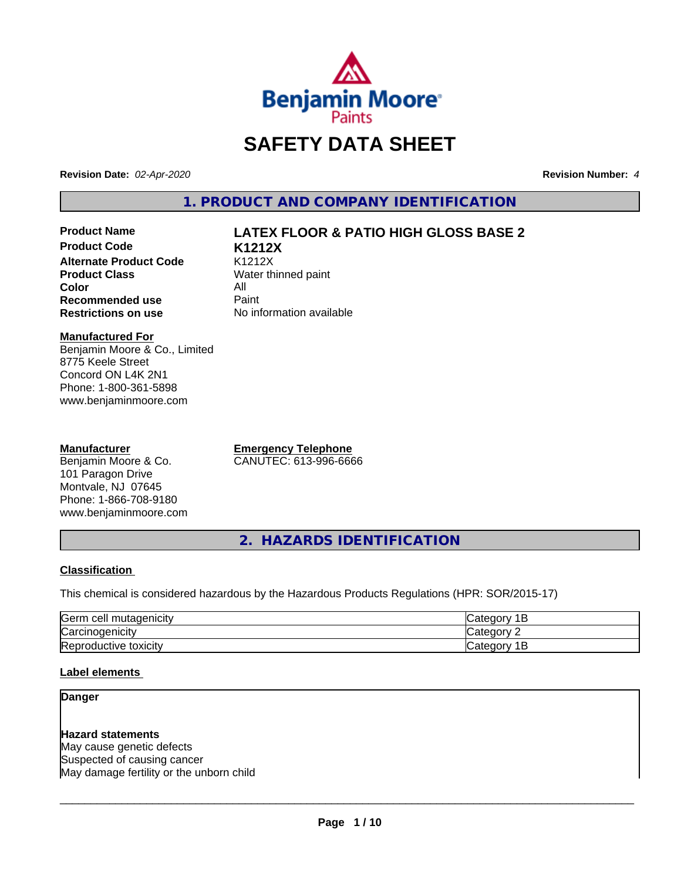

# **SAFETY DATA SHEET**

**Revision Date:** *02-Apr-2020* **Revision Number:** *4*

**1. PRODUCT AND COMPANY IDENTIFICATION**

**Product Code K1212X Alternate Product Code** K1212X<br> **Product Class** Water th **Color** All<br> **Recommended use** Paint **Recommended use**<br>Restrictions on use

# **Product Name LATEX FLOOR & PATIO HIGH GLOSS BASE 2**

**Water thinned paint No information available** 

**Manufactured For**

Benjamin Moore & Co., Limited 8775 Keele Street Concord ON L4K 2N1 Phone: 1-800-361-5898 www.benjaminmoore.com

#### **Manufacturer**

Benjamin Moore & Co. 101 Paragon Drive Montvale, NJ 07645 Phone: 1-866-708-9180 www.benjaminmoore.com **Emergency Telephone** CANUTEC: 613-996-6666

**2. HAZARDS IDENTIFICATION**

#### **Classification**

This chemical is considered hazardous by the Hazardous Products Regulations (HPR: SOR/2015-17)

| Germ<br>$\sim$<br>cell<br>utagenicity     | <b>SASS</b> .<br>$\sim$ $+$                               |
|-------------------------------------------|-----------------------------------------------------------|
| הו<br>$\blacksquare$<br>aenicit<br>vai    | $\sim$ $\sim$ $\sim$                                      |
| Repr<br>toxicity<br>oductive <sup>.</sup> | $\sim$ $\sim$ $\sim$ $\sim$<br>. .<br>$\sim$<br>valo<br>- |

#### **Label elements**

## **Danger**

**Hazard statements** May cause genetic defects Suspected of causing cancer May damage fertility or the unborn child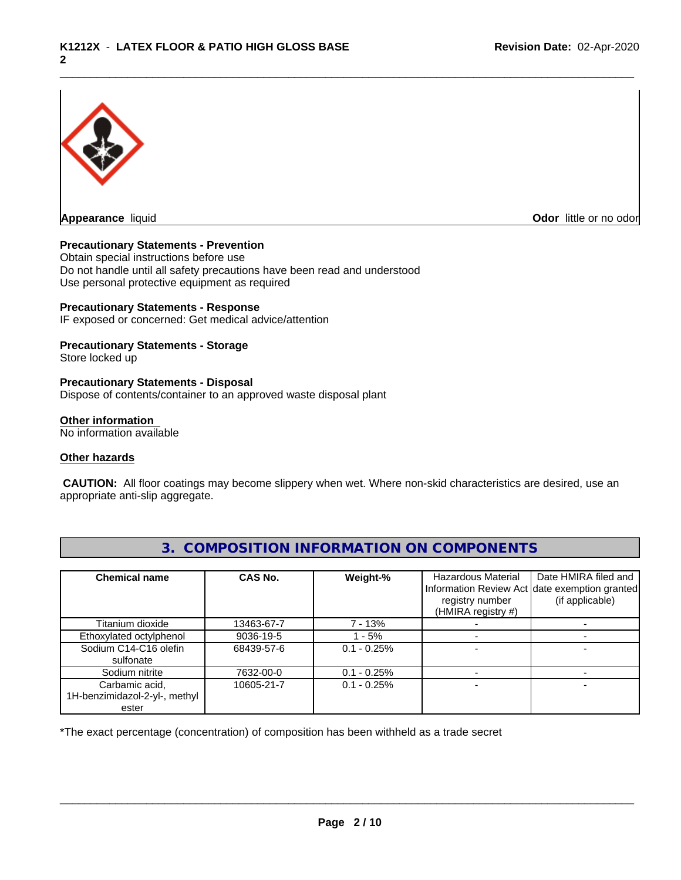

**Appearance** liquid **Contract Contract Contract Contract Contract Contract Contract Contract Contract Contract Contract Contract Contract Contract Contract Contract Contract Contract Contract Contract Contract Contract Con** 

#### **Precautionary Statements - Prevention**

Obtain special instructions before use Do not handle until all safety precautions have been read and understood Use personal protective equipment as required

#### **Precautionary Statements - Response**

IF exposed or concerned: Get medical advice/attention

#### **Precautionary Statements - Storage**

Store locked up

#### **Precautionary Statements - Disposal**

Dispose of contents/container to an approved waste disposal plant

#### **Other information**

No information available

#### **Other hazards**

 **CAUTION:** All floor coatings may become slippery when wet. Where non-skid characteristics are desired, use an appropriate anti-slip aggregate.

| <b>Chemical name</b>          | CAS No.    | Weight-%      | Hazardous Material | Date HMIRA filed and<br>Information Review Act date exemption granted |
|-------------------------------|------------|---------------|--------------------|-----------------------------------------------------------------------|
|                               |            |               | registry number    | (if applicable)                                                       |
|                               |            |               | (HMIRA registry #) |                                                                       |
| Titanium dioxide              | 13463-67-7 | 7 - 13%       |                    |                                                                       |
| Ethoxylated octylphenol       | 9036-19-5  | - 5%          |                    |                                                                       |
| Sodium C14-C16 olefin         | 68439-57-6 | $0.1 - 0.25%$ |                    |                                                                       |
| sulfonate                     |            |               |                    |                                                                       |
| Sodium nitrite                | 7632-00-0  | $0.1 - 0.25%$ |                    |                                                                       |
| Carbamic acid,                | 10605-21-7 | $0.1 - 0.25%$ |                    |                                                                       |
| 1H-benzimidazol-2-yl-, methyl |            |               |                    |                                                                       |
| ester                         |            |               |                    |                                                                       |

# **3. COMPOSITION INFORMATION ON COMPONENTS**

\*The exact percentage (concentration) of composition has been withheld as a trade secret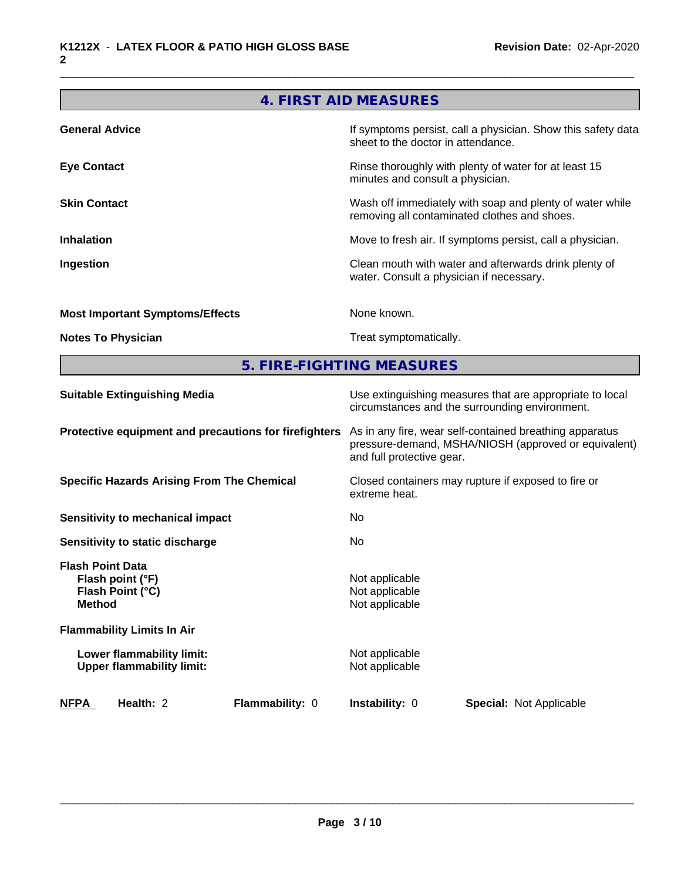# **4. FIRST AID MEASURES**

| <b>General Advice</b>                  | If symptoms persist, call a physician. Show this safety data<br>sheet to the doctor in attendance.       |
|----------------------------------------|----------------------------------------------------------------------------------------------------------|
| <b>Eye Contact</b>                     | Rinse thoroughly with plenty of water for at least 15<br>minutes and consult a physician.                |
| <b>Skin Contact</b>                    | Wash off immediately with soap and plenty of water while<br>removing all contaminated clothes and shoes. |
| <b>Inhalation</b>                      | Move to fresh air. If symptoms persist, call a physician.                                                |
| Ingestion                              | Clean mouth with water and afterwards drink plenty of<br>water. Consult a physician if necessary.        |
| <b>Most Important Symptoms/Effects</b> | None known.                                                                                              |
| <b>Notes To Physician</b>              | Treat symptomatically.                                                                                   |

**5. FIRE-FIGHTING MEASURES**

| Use extinguishing measures that are appropriate to local<br>circumstances and the surrounding environment.                                   |
|----------------------------------------------------------------------------------------------------------------------------------------------|
| As in any fire, wear self-contained breathing apparatus<br>pressure-demand, MSHA/NIOSH (approved or equivalent)<br>and full protective gear. |
| Closed containers may rupture if exposed to fire or<br>extreme heat.                                                                         |
| No                                                                                                                                           |
| No.                                                                                                                                          |
| Not applicable<br>Not applicable<br>Not applicable                                                                                           |
|                                                                                                                                              |
| Not applicable<br>Not applicable                                                                                                             |
| <b>Instability: 0</b><br><b>Special: Not Applicable</b>                                                                                      |
|                                                                                                                                              |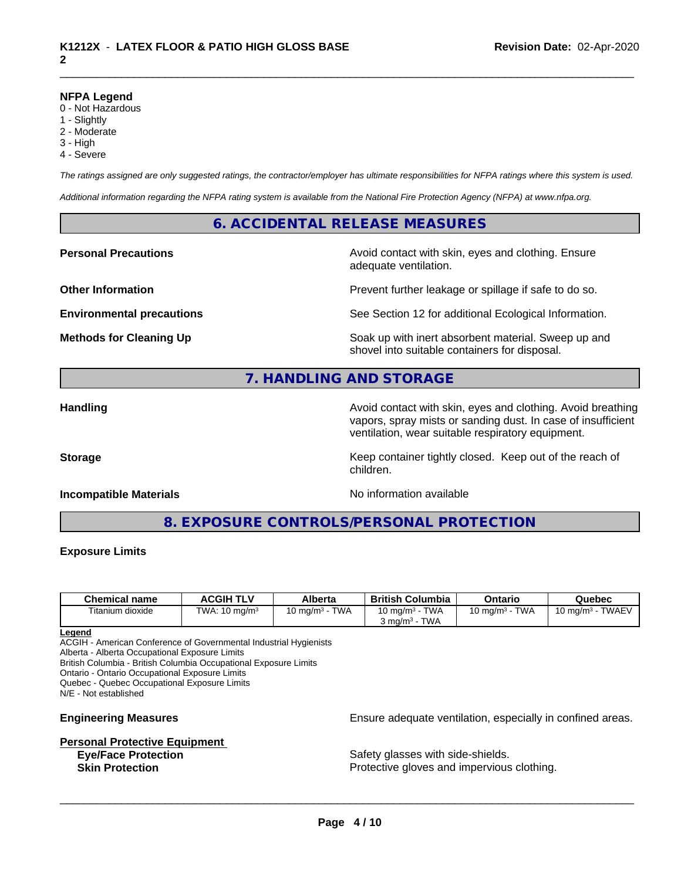#### **NFPA Legend**

- 0 Not Hazardous
- 1 Slightly
- 2 Moderate
- 3 High
- 4 Severe

*The ratings assigned are only suggested ratings, the contractor/employer has ultimate responsibilities for NFPA ratings where this system is used.*

*Additional information regarding the NFPA rating system is available from the National Fire Protection Agency (NFPA) at www.nfpa.org.*

## **6. ACCIDENTAL RELEASE MEASURES**

**Personal Precautions Avoid contact with skin, eyes and clothing. Ensure** Avoid contact with skin, eyes and clothing. Ensure adequate ventilation.

**Other Information Determines According to the Prevent further leakage or spillage if safe to do so.** 

**Environmental precautions** See Section 12 for additional Ecological Information.

**Methods for Cleaning Up Example 20 Soak** up with inert absorbent material. Sweep up and shovel into suitable containers for disposal.

# **7. HANDLING AND STORAGE**

**Handling Handling Avoid contact with skin, eyes and clothing. Avoid breathing H** vapors, spray mists or sanding dust. In case of insufficient ventilation, wear suitable respiratory equipment.

**Storage Keep container tightly closed. Keep out of the reach of Keep** container tightly closed. Keep out of the reach of

#### **Incompatible Materials Incompatible Materials No information available**

**8. EXPOSURE CONTROLS/PERSONAL PROTECTION**

children.

#### **Exposure Limits**

| <b>Chemical name</b> | <b>ACGIH TLV</b>    | Alberta                   | <b>British</b><br>Columbia            | Ontario                   | Quebec                              |
|----------------------|---------------------|---------------------------|---------------------------------------|---------------------------|-------------------------------------|
| Titanium dioxide     | TWA:<br>10 mg/m $3$ | <b>TWA</b><br>10 ma/m $3$ | <b>TWA</b><br>10 mg/m $3$             | <b>TWA</b><br>10 mg/m $3$ | <b>TWAEV</b><br>$10 \text{ ma/m}^3$ |
|                      |                     |                           | <b>TWA</b><br>ა mɑ/m <sup>ɜ</sup> - ¯ |                           |                                     |

#### **Legend**

ACGIH - American Conference of Governmental Industrial Hygienists

Alberta - Alberta Occupational Exposure Limits

British Columbia - British Columbia Occupational Exposure Limits

Ontario - Ontario Occupational Exposure Limits

Quebec - Quebec Occupational Exposure Limits

N/E - Not established

# **Personal Protective Equipment**

**Engineering Measures Ensure** Ensure adequate ventilation, especially in confined areas.

**Eye/Face Protection Safety glasses with side-shields. Skin Protection Protection Protective gloves and impervious clothing.**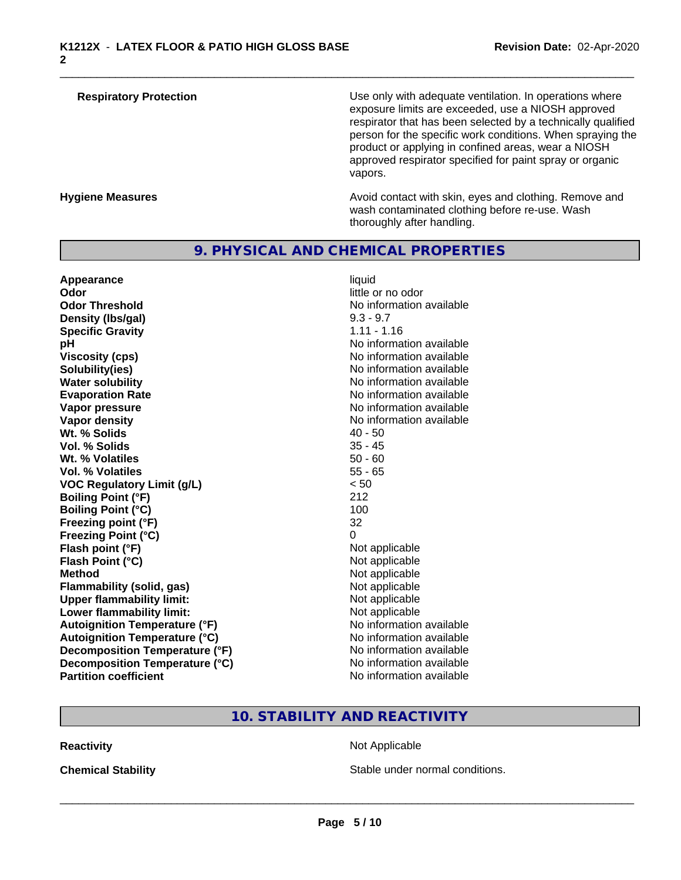| <b>Respiratory Protection</b> | Use only with adequate ventilation. In operations where<br>exposure limits are exceeded, use a NIOSH approved<br>respirator that has been selected by a technically qualified<br>person for the specific work conditions. When spraying the<br>product or applying in confined areas, wear a NIOSH<br>approved respirator specified for paint spray or organic<br>vapors. |
|-------------------------------|---------------------------------------------------------------------------------------------------------------------------------------------------------------------------------------------------------------------------------------------------------------------------------------------------------------------------------------------------------------------------|
| <b>Hygiene Measures</b>       | Avoid contact with skin, eyes and clothing. Remove and<br>wash contaminated clothing before re-use. Wash                                                                                                                                                                                                                                                                  |

# **9. PHYSICAL AND CHEMICAL PROPERTIES**

| Appearance                           | liquid                   |
|--------------------------------------|--------------------------|
| Odor                                 | little or no odor        |
| <b>Odor Threshold</b>                | No information available |
| Density (Ibs/gal)                    | $9.3 - 9.7$              |
| <b>Specific Gravity</b>              | $1.11 - 1.16$            |
| рH                                   | No information available |
| <b>Viscosity (cps)</b>               | No information available |
| Solubility(ies)                      | No information available |
| <b>Water solubility</b>              | No information available |
| <b>Evaporation Rate</b>              | No information available |
| Vapor pressure                       | No information available |
| <b>Vapor density</b>                 | No information available |
| Wt. % Solids                         | $40 - 50$                |
| Vol. % Solids                        | $35 - 45$                |
| Wt. % Volatiles                      | $50 - 60$                |
| <b>Vol. % Volatiles</b>              | $55 - 65$                |
| <b>VOC Regulatory Limit (g/L)</b>    | < 50                     |
| <b>Boiling Point (°F)</b>            | 212                      |
| <b>Boiling Point (°C)</b>            | 100                      |
| Freezing point (°F)                  | 32                       |
| <b>Freezing Point (°C)</b>           | 0                        |
| Flash point (°F)                     | Not applicable           |
| Flash Point (°C)                     | Not applicable           |
| <b>Method</b>                        | Not applicable           |
| <b>Flammability (solid, gas)</b>     | Not applicable           |
| <b>Upper flammability limit:</b>     | Not applicable           |
| Lower flammability limit:            | Not applicable           |
| <b>Autoignition Temperature (°F)</b> | No information available |
| <b>Autoignition Temperature (°C)</b> | No information available |
| Decomposition Temperature (°F)       | No information available |
| Decomposition Temperature (°C)       | No information available |
| <b>Partition coefficient</b>         | No information available |

# little or no odor No information available<br>9.3 - 9.7 **Specific Gravity** 1.11 - 1.16 **No information available Viscosity (cps)** No information available **No information available No information available Evaporation Rate** No information available **No information available No information available**<br>**40 - 50 Not applicable Not applicable Not applicable Flammability (solid, gas)** Not applicable **Not applicable Not applicable Autoignition Temperature (°F)** No information available **No information available No information available No information available**

thoroughly after handling.

# **10. STABILITY AND REACTIVITY**

**Reactivity** Not Applicable

**Chemical Stability Chemical Stability** Stable under normal conditions.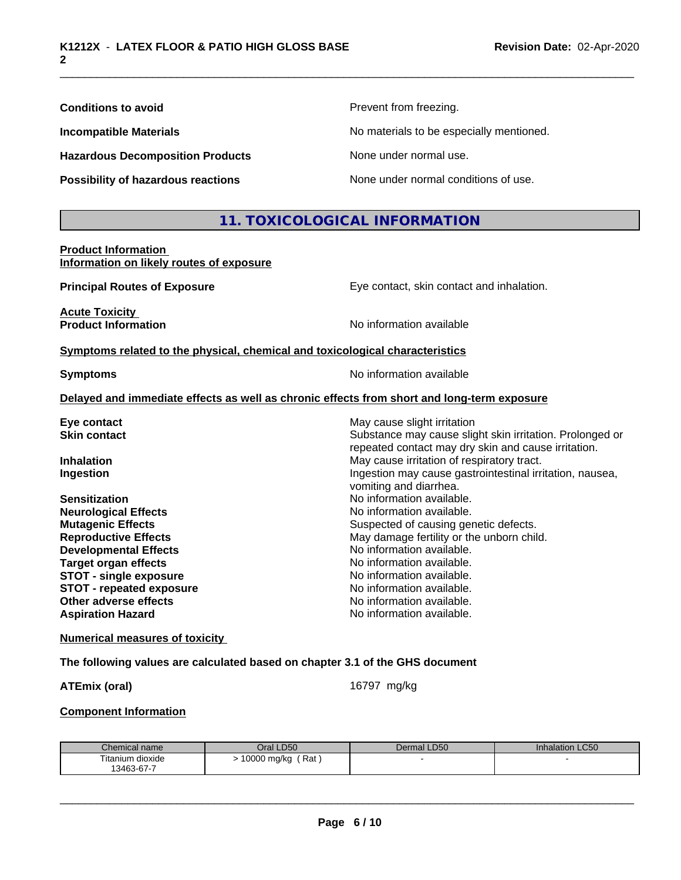| <b>Conditions to avoid</b>                                             | Prevent from freezing.                    |  |  |
|------------------------------------------------------------------------|-------------------------------------------|--|--|
| <b>Incompatible Materials</b>                                          | No materials to be especially mentioned.  |  |  |
| <b>Hazardous Decomposition Products</b>                                | None under normal use.                    |  |  |
| Possibility of hazardous reactions                                     | None under normal conditions of use.      |  |  |
|                                                                        | 11. TOXICOLOGICAL INFORMATION             |  |  |
| <b>Product Information</b><br>Information on likely routes of exposure |                                           |  |  |
| <b>Principal Routes of Exposure</b>                                    | Eye contact, skin contact and inhalation. |  |  |
| <b>Acute Toxicity</b><br><b>Product Information</b>                    | No information available                  |  |  |

**Symptoms** related to the physical, chemical and toxicological characteristics

**Symptoms** No information available

#### **Delayed and immediate effects as well as chronic effects from short and long-term exposure**

| May cause slight irritation                                                                                     |
|-----------------------------------------------------------------------------------------------------------------|
| Substance may cause slight skin irritation. Prolonged or<br>repeated contact may dry skin and cause irritation. |
| May cause irritation of respiratory tract.                                                                      |
| Ingestion may cause gastrointestinal irritation, nausea,<br>vomiting and diarrhea.                              |
| No information available.                                                                                       |
| No information available.                                                                                       |
| Suspected of causing genetic defects.                                                                           |
| May damage fertility or the unborn child.                                                                       |
| No information available.                                                                                       |
| No information available.                                                                                       |
| No information available.                                                                                       |
| No information available.                                                                                       |
| No information available.                                                                                       |
| No information available.                                                                                       |
|                                                                                                                 |

#### **Numerical measures of toxicity**

#### **The following values are calculated based on chapter 3.1 of the GHS document**

**ATEmix (oral)** 16797 mg/kg

 $\overline{\phantom{a}}$  ,  $\overline{\phantom{a}}$  ,  $\overline{\phantom{a}}$  ,  $\overline{\phantom{a}}$  ,  $\overline{\phantom{a}}$  ,  $\overline{\phantom{a}}$  ,  $\overline{\phantom{a}}$  ,  $\overline{\phantom{a}}$  ,  $\overline{\phantom{a}}$  ,  $\overline{\phantom{a}}$  ,  $\overline{\phantom{a}}$  ,  $\overline{\phantom{a}}$  ,  $\overline{\phantom{a}}$  ,  $\overline{\phantom{a}}$  ,  $\overline{\phantom{a}}$  ,  $\overline{\phantom{a}}$ 

#### **Component Information**

| Chemical name    | Oral LD50          | Dermal LD50 | <b>Inhalation LC50</b> |
|------------------|--------------------|-------------|------------------------|
| Titanium dioxide | Rat<br>10000 mg/kg |             |                        |
| 13463-67-7       |                    |             |                        |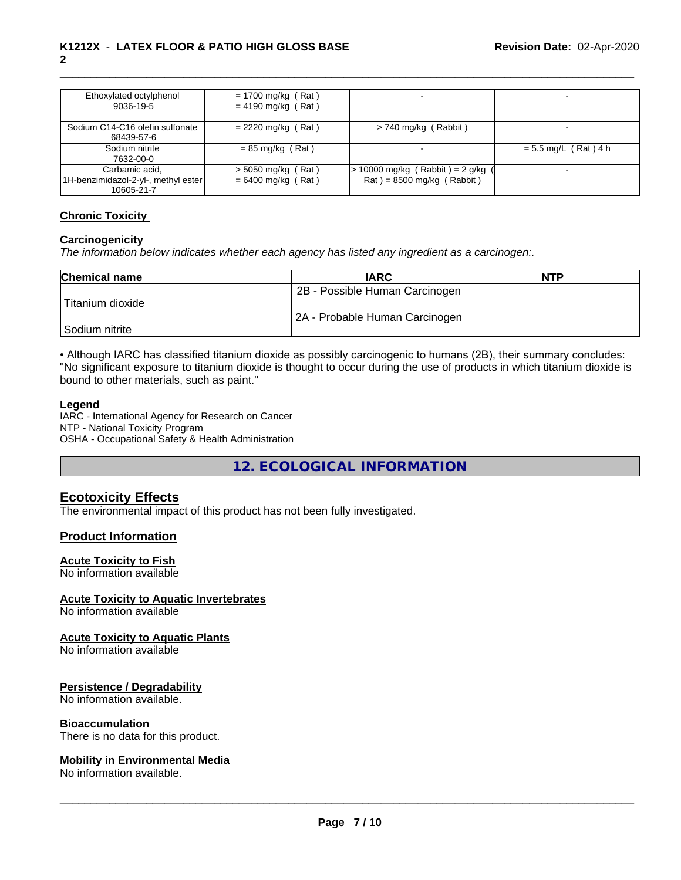| Ethoxylated octylphenol<br>9036-19-5                                | $= 1700$ mg/kg (Rat)<br>$= 4190$ mg/kg (Rat) |                                                                    |                        |
|---------------------------------------------------------------------|----------------------------------------------|--------------------------------------------------------------------|------------------------|
| Sodium C14-C16 olefin sulfonate<br>68439-57-6                       | $= 2220$ mg/kg (Rat)                         | $> 740$ mg/kg (Rabbit)                                             |                        |
| Sodium nitrite<br>7632-00-0                                         | $= 85$ mg/kg (Rat)                           |                                                                    | $= 5.5$ mg/L (Rat) 4 h |
| Carbamic acid,<br>1H-benzimidazol-2-yl-, methyl ester<br>10605-21-7 | $>$ 5050 mg/kg (Rat)<br>$= 6400$ mg/kg (Rat) | $> 10000$ mg/kg (Rabbit) = 2 g/kg (<br>$Rat$ = 8500 mg/kg (Rabbit) |                        |

#### **Chronic Toxicity**

#### **Carcinogenicity**

*The information below indicateswhether each agency has listed any ingredient as a carcinogen:.*

| <b>Chemical name</b> | <b>IARC</b>                    | <b>NTP</b> |
|----------------------|--------------------------------|------------|
|                      | 2B - Possible Human Carcinogen |            |
| Titanium dioxide     |                                |            |
|                      | 2A - Probable Human Carcinogen |            |
| l Sodium nitrite     |                                |            |

• Although IARC has classified titanium dioxide as possibly carcinogenic to humans (2B), their summary concludes: "No significant exposure to titanium dioxide is thought to occur during the use of products in which titanium dioxide is bound to other materials, such as paint."

#### **Legend**

IARC - International Agency for Research on Cancer NTP - National Toxicity Program OSHA - Occupational Safety & Health Administration

**12. ECOLOGICAL INFORMATION**

#### **Ecotoxicity Effects**

The environmental impact of this product has not been fully investigated.

#### **Product Information**

#### **Acute Toxicity to Fish**

No information available

### **Acute Toxicity to Aquatic Invertebrates**

No information available

#### **Acute Toxicity to Aquatic Plants**

No information available

#### **Persistence / Degradability**

No information available.

#### **Bioaccumulation**

There is no data for this product.

#### **Mobility in Environmental Media**

No information available.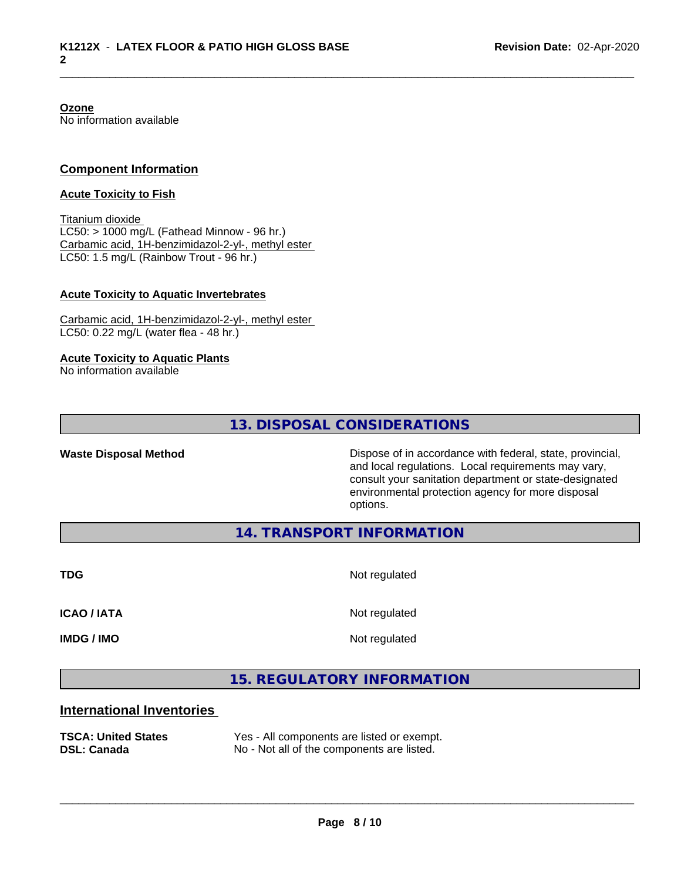**Ozone** No information available

#### **Component Information**

#### **Acute Toxicity to Fish**

Titanium dioxide  $LC50:$  > 1000 mg/L (Fathead Minnow - 96 hr.) Carbamic acid, 1H-benzimidazol-2-yl-, methyl ester LC50: 1.5 mg/L (Rainbow Trout - 96 hr.)

#### **Acute Toxicity to Aquatic Invertebrates**

Carbamic acid, 1H-benzimidazol-2-yl-, methyl ester LC50: 0.22 mg/L (water flea - 48 hr.)

#### **Acute Toxicity to Aquatic Plants**

No information available

**13. DISPOSAL CONSIDERATIONS**

**Waste Disposal Method Dispose of in accordance with federal, state, provincial,** and local regulations. Local requirements may vary, consult your sanitation department or state-designated environmental protection agency for more disposal options.

**14. TRANSPORT INFORMATION**

**TDG** Not regulated

**ICAO / IATA** Not regulated

**IMDG / IMO** Not regulated

 $\overline{\phantom{a}}$  ,  $\overline{\phantom{a}}$  ,  $\overline{\phantom{a}}$  ,  $\overline{\phantom{a}}$  ,  $\overline{\phantom{a}}$  ,  $\overline{\phantom{a}}$  ,  $\overline{\phantom{a}}$  ,  $\overline{\phantom{a}}$  ,  $\overline{\phantom{a}}$  ,  $\overline{\phantom{a}}$  ,  $\overline{\phantom{a}}$  ,  $\overline{\phantom{a}}$  ,  $\overline{\phantom{a}}$  ,  $\overline{\phantom{a}}$  ,  $\overline{\phantom{a}}$  ,  $\overline{\phantom{a}}$ 

# **15. REGULATORY INFORMATION**

#### **International Inventories**

**TSCA: United States** Yes - All components are listed or exempt. **DSL: Canada** No - Not all of the components are listed.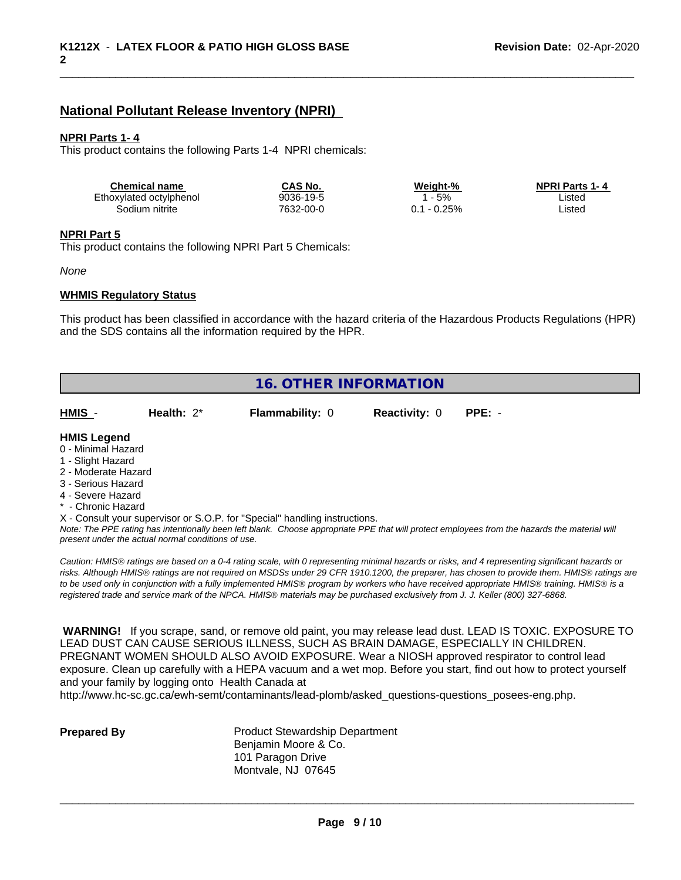## **National Pollutant Release Inventory (NPRI)**

#### **NPRI Parts 1- 4**

This product contains the following Parts 1-4 NPRI chemicals:

| <b>Chemical name</b>    | CAS No.   | Weiaht-% | <b>NPRI Parts 1-4</b> |  |
|-------------------------|-----------|----------|-----------------------|--|
| Ethoxylated octylphenol | 9036-19-5 | 5%       | Listec                |  |
| Sodium nitrite          | 7632-00-0 | $-0.25%$ | Listec                |  |

#### **NPRI Part 5**

This product contains the following NPRI Part 5 Chemicals:

#### *None*

#### **WHMIS Regulatory Status**

This product has been classified in accordance with the hazard criteria of the Hazardous Products Regulations (HPR) and the SDS contains all the information required by the HPR.

|                     | <b>16. OTHER INFORMATION</b>                       |                                                                            |                      |                                                                                                                                               |  |  |  |
|---------------------|----------------------------------------------------|----------------------------------------------------------------------------|----------------------|-----------------------------------------------------------------------------------------------------------------------------------------------|--|--|--|
| HMIS -              | Health: $2^*$                                      | <b>Flammability: 0</b>                                                     | <b>Reactivity: 0</b> | $PPE: -$                                                                                                                                      |  |  |  |
| <b>HMIS Legend</b>  |                                                    |                                                                            |                      |                                                                                                                                               |  |  |  |
| 0 - Minimal Hazard  |                                                    |                                                                            |                      |                                                                                                                                               |  |  |  |
| 1 - Slight Hazard   |                                                    |                                                                            |                      |                                                                                                                                               |  |  |  |
| 2 - Moderate Hazard |                                                    |                                                                            |                      |                                                                                                                                               |  |  |  |
| 3 - Serious Hazard  |                                                    |                                                                            |                      |                                                                                                                                               |  |  |  |
| 4 - Severe Hazard   |                                                    |                                                                            |                      |                                                                                                                                               |  |  |  |
| * - Chronic Hazard  |                                                    |                                                                            |                      |                                                                                                                                               |  |  |  |
|                     |                                                    | X - Consult your supervisor or S.O.P. for "Special" handling instructions. |                      |                                                                                                                                               |  |  |  |
|                     | present under the actual normal conditions of use. |                                                                            |                      | Note: The PPE rating has intentionally been left blank. Choose appropriate PPE that will protect employees from the hazards the material will |  |  |  |

*risks. Although HMISÒ ratings are not required on MSDSs under 29 CFR 1910.1200, the preparer, has chosen to provide them. HMISÒ ratings are to be used only in conjunction with a fully implemented HMISÒ program by workers who have received appropriate HMISÒ training. HMISÒ is a registered trade and service mark of the NPCA. HMISÒ materials may be purchased exclusively from J. J. Keller (800) 327-6868.*

 **WARNING!** If you scrape, sand, or remove old paint, you may release lead dust. LEAD IS TOXIC. EXPOSURE TO LEAD DUST CAN CAUSE SERIOUS ILLNESS, SUCH AS BRAIN DAMAGE, ESPECIALLY IN CHILDREN. PREGNANT WOMEN SHOULD ALSO AVOID EXPOSURE.Wear a NIOSH approved respirator to control lead exposure. Clean up carefully with a HEPA vacuum and a wet mop. Before you start, find out how to protect yourself and your family by logging onto Health Canada at

http://www.hc-sc.gc.ca/ewh-semt/contaminants/lead-plomb/asked\_questions-questions\_posees-eng.php.

| <b>Prepared By</b> |  |
|--------------------|--|
|                    |  |

**Product Stewardship Department** Benjamin Moore & Co. 101 Paragon Drive Montvale, NJ 07645